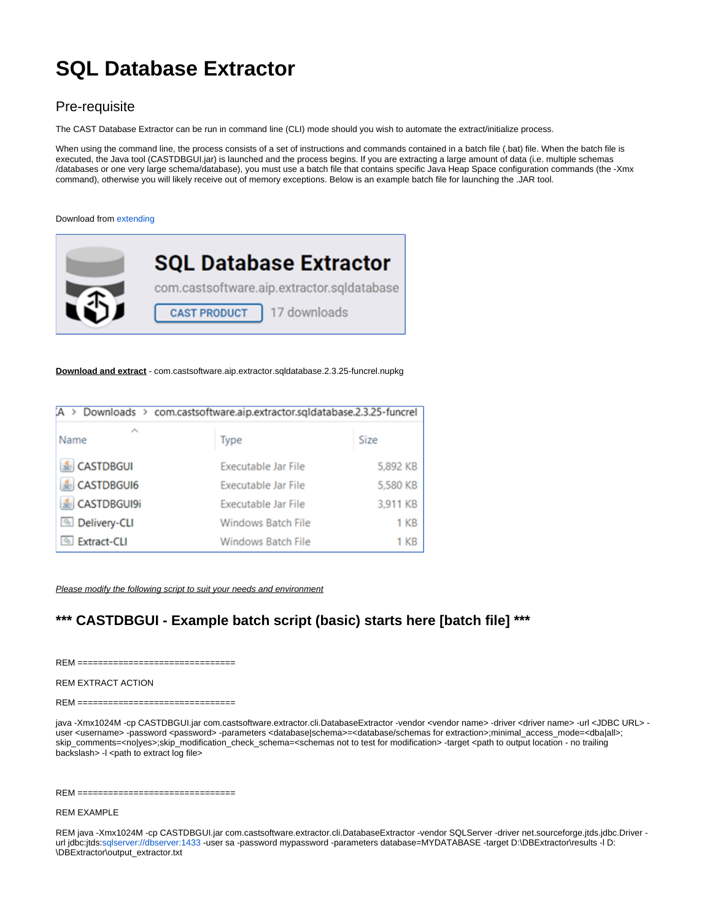# **SQL Database Extractor**

## Pre-requisite

The CAST Database Extractor can be run in command line (CLI) mode should you wish to automate the extract/initialize process.

When using the command line, the process consists of a set of instructions and commands contained in a batch file (.bat) file. When the batch file is executed, the Java tool (CASTDBGUI.jar) is launched and the process begins. If you are extracting a large amount of data (i.e. multiple schemas /databases or one very large schema/database), you must use a batch file that contains specific Java Heap Space configuration commands (the -Xmx command), otherwise you will likely receive out of memory exceptions. Below is an example batch file for launching the .JAR tool.

#### Download from [extending](https://extendng.castsoftware.com/#/search)



**Download and extract** - com.castsoftware.aip.extractor.sqldatabase.2.3.25-funcrel.nupkg

| Downloads > com.castsoftware.aip.extractor.sqldatabase.2.3.25-funcrel |                           |          |
|-----------------------------------------------------------------------|---------------------------|----------|
| ∼<br>Name                                                             | Type                      | Size     |
| CASTDBGUI                                                             | Executable Jar File       | 5,892 KB |
| CASTDBGUI6                                                            | Executable Jar File       | 5,580 KB |
| CASTDBGUI9i                                                           | Executable Jar File       | 3,911 KB |
| <b>S</b> Delivery-CLI                                                 | <b>Windows Batch File</b> | 1 KB     |
| <b>Extract-CLI</b>                                                    | <b>Windows Batch File</b> | 1 KB     |

Please modify the following script to suit your needs and environment

# **\*\*\* CASTDBGUI - Example batch script (basic) starts here [batch file] \*\*\***

 $REM =$ 

#### REM EXTRACT ACTION

 $REM == =$ 

java -Xmx1024M -cp CASTDBGUI.jar com.castsoftware.extractor.cli.DatabaseExtractor -vendor <vendor name> -driver <driver name> -url <JDBC URL> user <username> -password <password> -parameters <database|schema>=<database/schemas for extraction>;minimal\_access\_mode=<dba|all>; skip\_comments=<no|yes>;skip\_modification\_check\_schema=<schemas not to test for modification> -target <path to output location - no trailing backslash> -l <path to extract log file>

 $REM$  =======

#### REM EXAMPLE

REM java -Xmx1024M -cp CASTDBGUI.jar com.castsoftware.extractor.cli.DatabaseExtractor -vendor SQLServer -driver net.sourceforge.jtds.jdbc.Driver -url jdbc:jtds[:sqlserver://dbserver:1433](sqlserver://dbserver:1433) -user sa -password mypassword -parameters database=MYDATABASE -target D:\DBExtractor\results -l D: \DBExtractor\output\_extractor.txt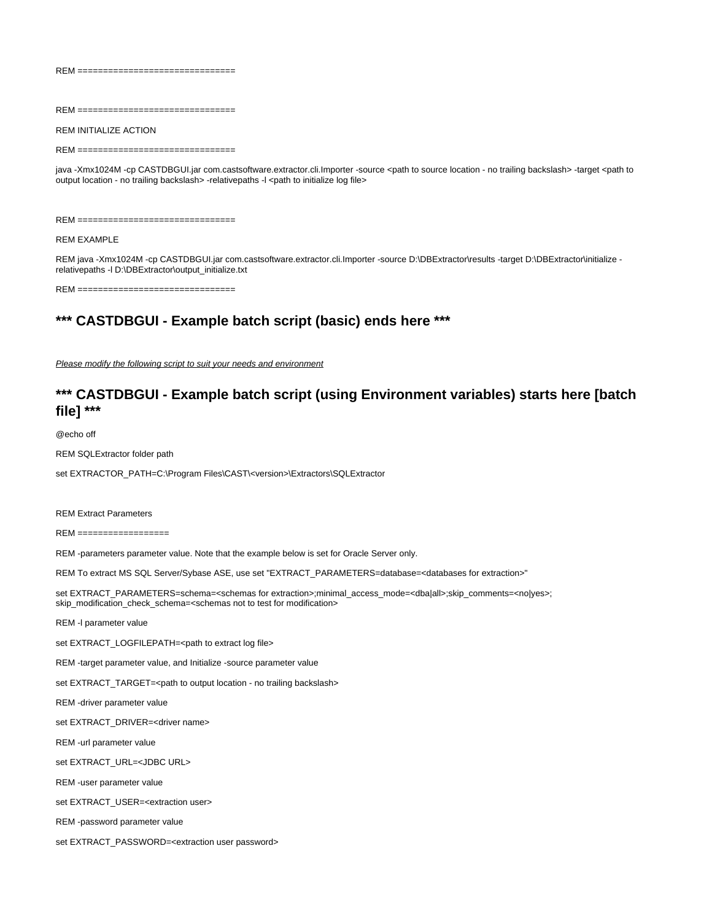$REM == ==$ 

REM ===============================

REM INITIALIZE ACTION

 $REM =$ 

java -Xmx1024M -cp CASTDBGUI.jar com.castsoftware.extractor.cli.Importer -source <path to source location - no trailing backslash> -target <path to output location - no trailing backslash> -relativepaths -l <path to initialize log file>

REM ===============================

#### REM EXAMPLE

REM java -Xmx1024M -cp CASTDBGUI.jar com.castsoftware.extractor.cli.Importer -source D:\DBExtractor\results -target D:\DBExtractor\initialize relativepaths -l D:\DBExtractor\output\_initialize.txt

REM ===============================

### **\*\*\* CASTDBGUI - Example batch script (basic) ends here \*\*\***

Please modify the following script to suit your needs and environment

### **\*\*\* CASTDBGUI - Example batch script (using Environment variables) starts here [batch file] \*\*\***

@echo off

REM SQLExtractor folder path

set EXTRACTOR\_PATH=C:\Program Files\CAST\<version>\Extractors\SQLExtractor

REM Extract Parameters

REM ==================

REM -parameters parameter value. Note that the example below is set for Oracle Server only.

REM To extract MS SQL Server/Sybase ASE, use set "EXTRACT\_PARAMETERS=database=<databases for extraction>"

set EXTRACT\_PARAMETERS=schema=<schemas for extraction>;minimal\_access\_mode=<dba|all>;skip\_comments=<no|yes>; skip\_modification\_check\_schema=<schemas not to test for modification>

REM -l parameter value

set EXTRACT\_LOGFILEPATH=<path to extract log file>

REM -target parameter value, and Initialize -source parameter value

set EXTRACT\_TARGET=<path to output location - no trailing backslash>

REM -driver parameter value

set EXTRACT\_DRIVER=<driver name>

REM -url parameter value

set EXTRACT\_URL=<JDBC URL>

REM -user parameter value

set EXTRACT\_USER=<extraction user>

REM -password parameter value

set EXTRACT\_PASSWORD=<extraction user password>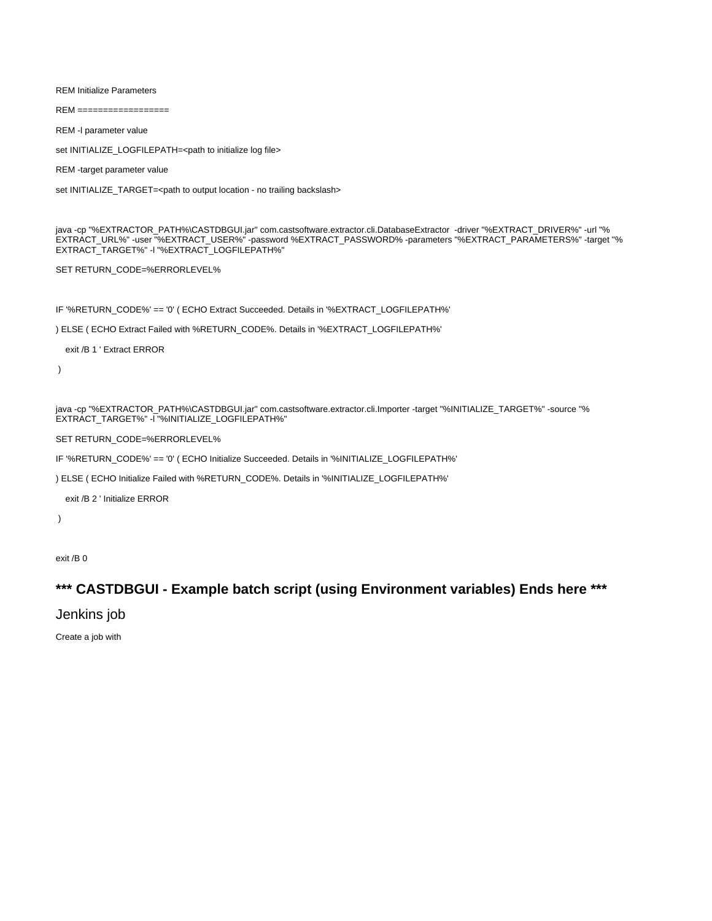REM Initialize Parameters

 $REM ===$ 

REM -l parameter value

set INITIALIZE\_LOGFILEPATH=<path to initialize log file>

REM -target parameter value

set INITIALIZE\_TARGET=<path to output location - no trailing backslash>

java -cp "%EXTRACTOR\_PATH%\CASTDBGUI.jar" com.castsoftware.extractor.cli.DatabaseExtractor -driver "%EXTRACT\_DRIVER%" -url "% EXTRACT\_URL%" -user "%EXTRACT\_USER%" -password %EXTRACT\_PASSWORD% -parameters "%EXTRACT\_PARAMETERS%" -target "% EXTRACT\_TARGET%" -l "%EXTRACT\_LOGFILEPATH%"

SET RETURN\_CODE=%ERRORLEVEL%

IF '%RETURN\_CODE%' == '0' ( ECHO Extract Succeeded. Details in '%EXTRACT\_LOGFILEPATH%'

) ELSE ( ECHO Extract Failed with %RETURN\_CODE%. Details in '%EXTRACT\_LOGFILEPATH%'

exit /B 1 ' Extract ERROR

)

java -cp "%EXTRACTOR\_PATH%\CASTDBGUI.jar" com.castsoftware.extractor.cli.Importer -target "%INITIALIZE\_TARGET%" -source "% EXTRACT\_TARGET%" -I "%INITIALIZE\_LOGFILEPATH%"

SET RETURN\_CODE=%ERRORLEVEL%

IF '%RETURN\_CODE%' == '0' ( ECHO Initialize Succeeded. Details in '%INITIALIZE\_LOGFILEPATH%'

) ELSE ( ECHO Initialize Failed with %RETURN\_CODE%. Details in '%INITIALIZE\_LOGFILEPATH%'

exit /B 2 ' Initialize ERROR

)

exit /B 0

# **\*\*\* CASTDBGUI - Example batch script (using Environment variables) Ends here \*\*\***

Jenkins job

Create a job with